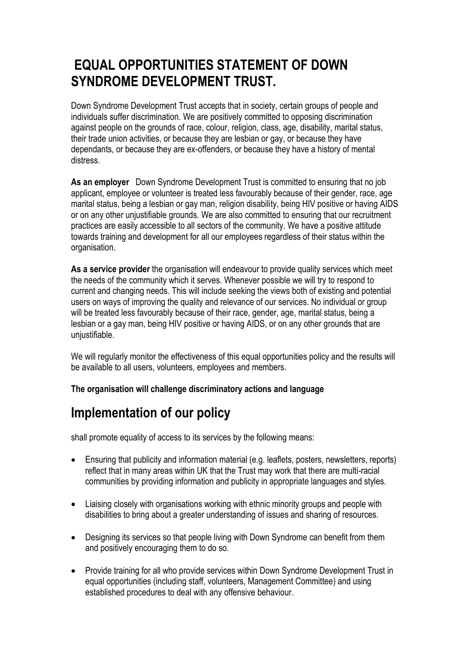## **EQUAL OPPORTUNITIES STATEMENT OF DOWN SYNDROME DEVELOPMENT TRUST.**

Down Syndrome Development Trust accepts that in society, certain groups of people and individuals suffer discrimination. We are positively committed to opposing discrimination against people on the grounds of race, colour, religion, class, age, disability, marital status, their trade union activities, or because they are lesbian or gay, or because they have dependants, or because they are ex-offenders, or because they have a history of mental distress.

**As an employer** Down Syndrome Development Trust is committed to ensuring that no job applicant, employee or volunteer is treated less favourably because of their gender, race, age marital status, being a lesbian or gay man, religion disability, being HIV positive or having AIDS or on any other unjustifiable grounds. We are also committed to ensuring that our recruitment practices are easily accessible to all sectors of the community. We have a positive attitude towards training and development for all our employees regardless of their status within the organisation.

**As a service provider** the organisation will endeavour to provide quality services which meet the needs of the community which it serves. Whenever possible we will try to respond to current and changing needs. This will include seeking the views both of existing and potential users on ways of improving the quality and relevance of our services. No individual or group will be treated less favourably because of their race, gender, age, marital status, being a lesbian or a gay man, being HIV positive or having AIDS, or on any other grounds that are uniustifiable.

We will regularly monitor the effectiveness of this equal opportunities policy and the results will be available to all users, volunteers, employees and members.

**The organisation will challenge discriminatory actions and language**

## **Implementation of our policy**

shall promote equality of access to its services by the following means:

- Ensuring that publicity and information material (e.g. leaflets, posters, newsletters, reports) reflect that in many areas within UK that the Trust may work that there are multi-racial communities by providing information and publicity in appropriate languages and styles.
- Liaising closely with organisations working with ethnic minority groups and people with disabilities to bring about a greater understanding of issues and sharing of resources.
- Designing its services so that people living with Down Syndrome can benefit from them and positively encouraging them to do so.
- Provide training for all who provide services within Down Syndrome Development Trust in equal opportunities (including staff, volunteers, Management Committee) and using established procedures to deal with any offensive behaviour.